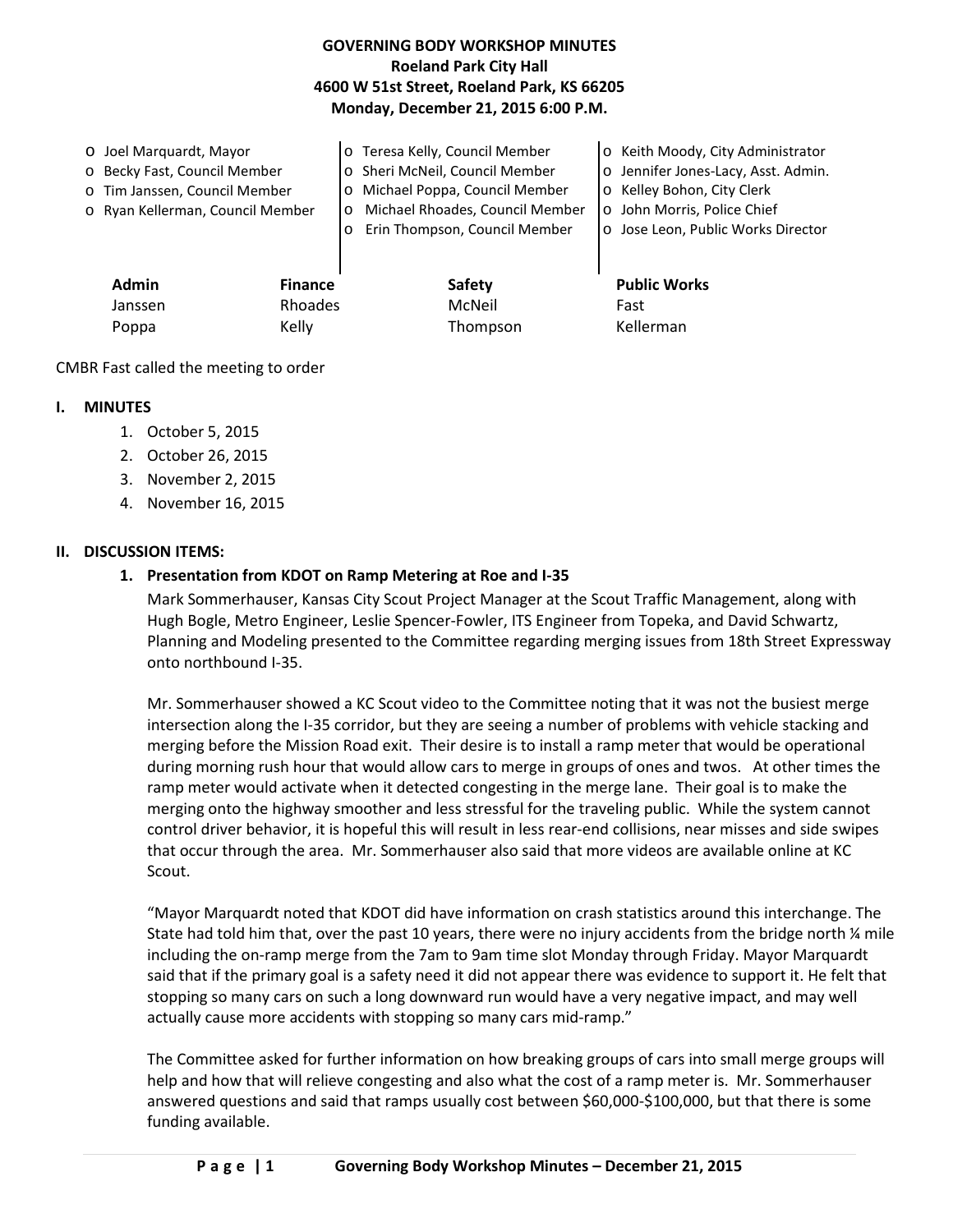## **GOVERNING BODY WORKSHOP MINUTES Roeland Park City Hall 4600 W 51st Street, Roeland Park, KS 66205 Monday, December 21, 2015 6:00 P.M.**

o Joel Marquardt, Mayor o Becky Fast, Council Member o Tim Janssen, Council Member o Ryan Kellerman, Council Member o Teresa Kelly, Council Member o Sheri McNeil, Council Member o Michael Poppa, Council Member o Michael Rhoades, Council Member o Erin Thompson, Council Member o Keith Moody, City Administrator o Jennifer Jones-Lacy, Asst. Admin. o Kelley Bohon, City Clerk o John Morris, Police Chief o Jose Leon, Public Works Director

**Admin Finance Safety Public Works** Janssen Rhoades McNeil Fast Poppa Kelly Kelly Thompson Kellerman

CMBR Fast called the meeting to order

## **I. MINUTES**

- 1. October 5, 2015
- 2. October 26, 2015
- 3. November 2, 2015
- 4. November 16, 2015

#### **II. DISCUSSION ITEMS:**

# **1. Presentation from KDOT on Ramp Metering at Roe and I-35**

Mark Sommerhauser, Kansas City Scout Project Manager at the Scout Traffic Management, along with Hugh Bogle, Metro Engineer, Leslie Spencer-Fowler, ITS Engineer from Topeka, and David Schwartz, Planning and Modeling presented to the Committee regarding merging issues from 18th Street Expressway onto northbound I-35.

Mr. Sommerhauser showed a KC Scout video to the Committee noting that it was not the busiest merge intersection along the I-35 corridor, but they are seeing a number of problems with vehicle stacking and merging before the Mission Road exit. Their desire is to install a ramp meter that would be operational during morning rush hour that would allow cars to merge in groups of ones and twos. At other times the ramp meter would activate when it detected congesting in the merge lane. Their goal is to make the merging onto the highway smoother and less stressful for the traveling public. While the system cannot control driver behavior, it is hopeful this will result in less rear-end collisions, near misses and side swipes that occur through the area. Mr. Sommerhauser also said that more videos are available online at KC Scout.

"Mayor Marquardt noted that KDOT did have information on crash statistics around this interchange. The State had told him that, over the past 10 years, there were no injury accidents from the bridge north % mile including the on-ramp merge from the 7am to 9am time slot Monday through Friday. Mayor Marquardt said that if the primary goal is a safety need it did not appear there was evidence to support it. He felt that stopping so many cars on such a long downward run would have a very negative impact, and may well actually cause more accidents with stopping so many cars mid-ramp."

The Committee asked for further information on how breaking groups of cars into small merge groups will help and how that will relieve congesting and also what the cost of a ramp meter is. Mr. Sommerhauser answered questions and said that ramps usually cost between \$60,000-\$100,000, but that there is some funding available.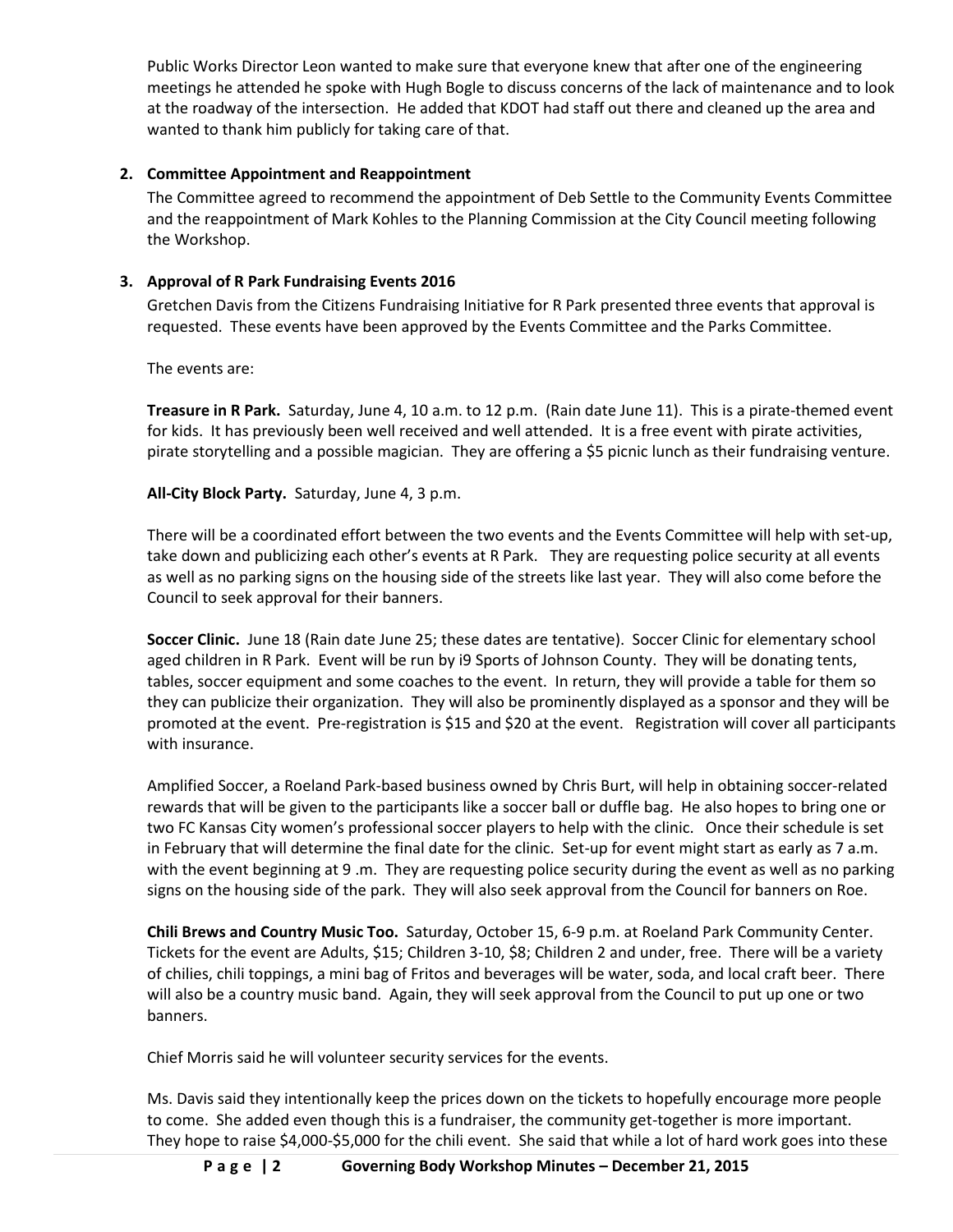Public Works Director Leon wanted to make sure that everyone knew that after one of the engineering meetings he attended he spoke with Hugh Bogle to discuss concerns of the lack of maintenance and to look at the roadway of the intersection. He added that KDOT had staff out there and cleaned up the area and wanted to thank him publicly for taking care of that.

## **2. Committee Appointment and Reappointment**

The Committee agreed to recommend the appointment of Deb Settle to the Community Events Committee and the reappointment of Mark Kohles to the Planning Commission at the City Council meeting following the Workshop.

### **3. Approval of R Park Fundraising Events 2016**

Gretchen Davis from the Citizens Fundraising Initiative for R Park presented three events that approval is requested. These events have been approved by the Events Committee and the Parks Committee.

The events are:

**Treasure in R Park.** Saturday, June 4, 10 a.m. to 12 p.m. (Rain date June 11). This is a pirate-themed event for kids. It has previously been well received and well attended. It is a free event with pirate activities, pirate storytelling and a possible magician. They are offering a \$5 picnic lunch as their fundraising venture.

**All-City Block Party.** Saturday, June 4, 3 p.m.

There will be a coordinated effort between the two events and the Events Committee will help with set-up, take down and publicizing each other's events at R Park. They are requesting police security at all events as well as no parking signs on the housing side of the streets like last year. They will also come before the Council to seek approval for their banners.

**Soccer Clinic.** June 18 (Rain date June 25; these dates are tentative). Soccer Clinic for elementary school aged children in R Park. Event will be run by i9 Sports of Johnson County. They will be donating tents, tables, soccer equipment and some coaches to the event. In return, they will provide a table for them so they can publicize their organization. They will also be prominently displayed as a sponsor and they will be promoted at the event. Pre-registration is \$15 and \$20 at the event. Registration will cover all participants with insurance.

Amplified Soccer, a Roeland Park-based business owned by Chris Burt, will help in obtaining soccer-related rewards that will be given to the participants like a soccer ball or duffle bag. He also hopes to bring one or two FC Kansas City women's professional soccer players to help with the clinic. Once their schedule is set in February that will determine the final date for the clinic. Set-up for event might start as early as 7 a.m. with the event beginning at 9 .m. They are requesting police security during the event as well as no parking signs on the housing side of the park. They will also seek approval from the Council for banners on Roe.

**Chili Brews and Country Music Too.** Saturday, October 15, 6-9 p.m. at Roeland Park Community Center. Tickets for the event are Adults, \$15; Children 3-10, \$8; Children 2 and under, free. There will be a variety of chilies, chili toppings, a mini bag of Fritos and beverages will be water, soda, and local craft beer. There will also be a country music band. Again, they will seek approval from the Council to put up one or two banners.

Chief Morris said he will volunteer security services for the events.

Ms. Davis said they intentionally keep the prices down on the tickets to hopefully encourage more people to come. She added even though this is a fundraiser, the community get-together is more important. They hope to raise \$4,000-\$5,000 for the chili event. She said that while a lot of hard work goes into these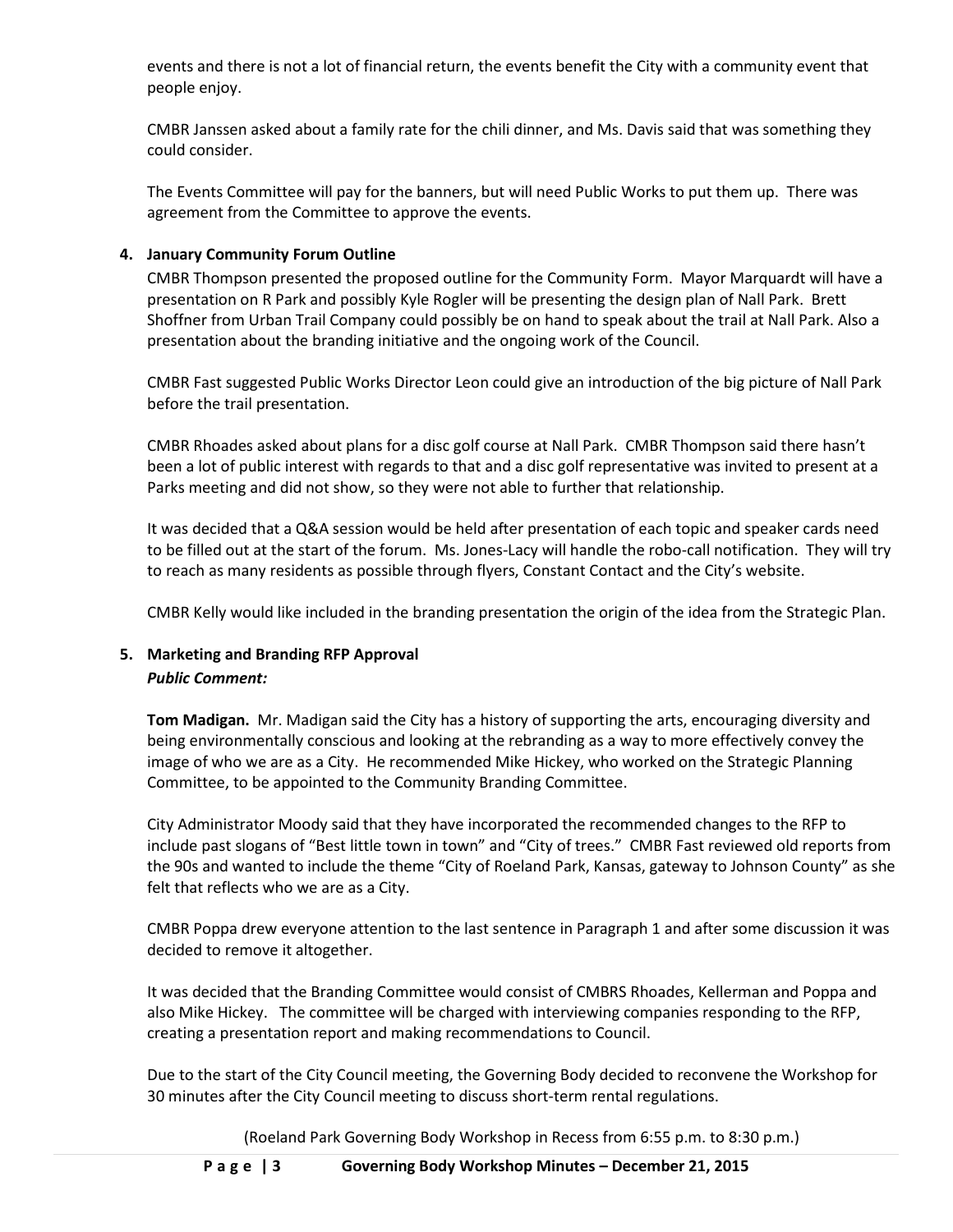events and there is not a lot of financial return, the events benefit the City with a community event that people enjoy.

CMBR Janssen asked about a family rate for the chili dinner, and Ms. Davis said that was something they could consider.

The Events Committee will pay for the banners, but will need Public Works to put them up. There was agreement from the Committee to approve the events.

## **4. January Community Forum Outline**

CMBR Thompson presented the proposed outline for the Community Form. Mayor Marquardt will have a presentation on R Park and possibly Kyle Rogler will be presenting the design plan of Nall Park. Brett Shoffner from Urban Trail Company could possibly be on hand to speak about the trail at Nall Park. Also a presentation about the branding initiative and the ongoing work of the Council.

CMBR Fast suggested Public Works Director Leon could give an introduction of the big picture of Nall Park before the trail presentation.

CMBR Rhoades asked about plans for a disc golf course at Nall Park. CMBR Thompson said there hasn't been a lot of public interest with regards to that and a disc golf representative was invited to present at a Parks meeting and did not show, so they were not able to further that relationship.

It was decided that a Q&A session would be held after presentation of each topic and speaker cards need to be filled out at the start of the forum. Ms. Jones-Lacy will handle the robo-call notification. They will try to reach as many residents as possible through flyers, Constant Contact and the City's website.

CMBR Kelly would like included in the branding presentation the origin of the idea from the Strategic Plan.

# **5. Marketing and Branding RFP Approval** *Public Comment:*

**Tom Madigan.** Mr. Madigan said the City has a history of supporting the arts, encouraging diversity and being environmentally conscious and looking at the rebranding as a way to more effectively convey the image of who we are as a City. He recommended Mike Hickey, who worked on the Strategic Planning Committee, to be appointed to the Community Branding Committee.

City Administrator Moody said that they have incorporated the recommended changes to the RFP to include past slogans of "Best little town in town" and "City of trees." CMBR Fast reviewed old reports from the 90s and wanted to include the theme "City of Roeland Park, Kansas, gateway to Johnson County" as she felt that reflects who we are as a City.

CMBR Poppa drew everyone attention to the last sentence in Paragraph 1 and after some discussion it was decided to remove it altogether.

It was decided that the Branding Committee would consist of CMBRS Rhoades, Kellerman and Poppa and also Mike Hickey. The committee will be charged with interviewing companies responding to the RFP, creating a presentation report and making recommendations to Council.

Due to the start of the City Council meeting, the Governing Body decided to reconvene the Workshop for 30 minutes after the City Council meeting to discuss short-term rental regulations.

(Roeland Park Governing Body Workshop in Recess from 6:55 p.m. to 8:30 p.m.)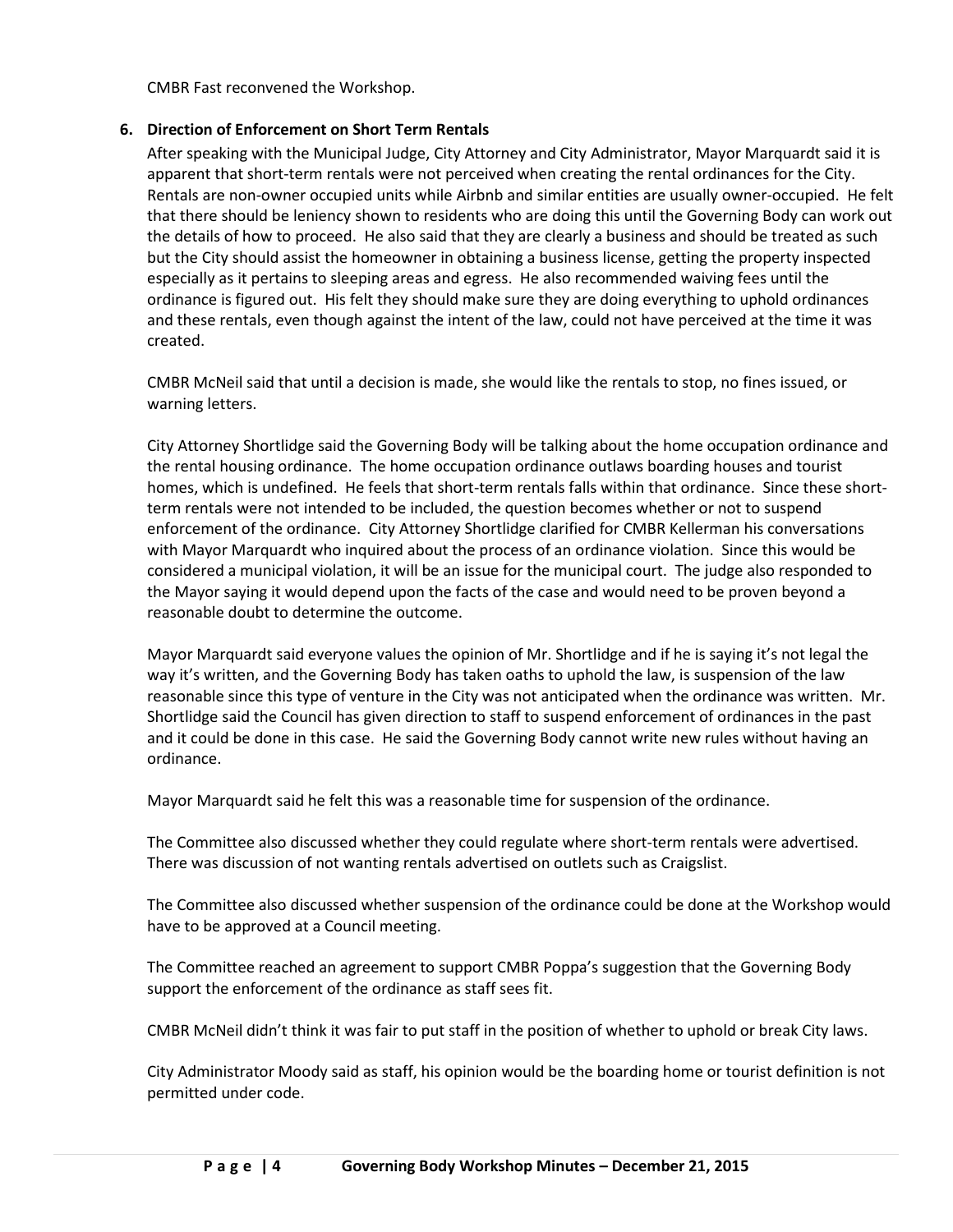CMBR Fast reconvened the Workshop.

#### **6. Direction of Enforcement on Short Term Rentals**

After speaking with the Municipal Judge, City Attorney and City Administrator, Mayor Marquardt said it is apparent that short-term rentals were not perceived when creating the rental ordinances for the City. Rentals are non-owner occupied units while Airbnb and similar entities are usually owner-occupied. He felt that there should be leniency shown to residents who are doing this until the Governing Body can work out the details of how to proceed. He also said that they are clearly a business and should be treated as such but the City should assist the homeowner in obtaining a business license, getting the property inspected especially as it pertains to sleeping areas and egress. He also recommended waiving fees until the ordinance is figured out. His felt they should make sure they are doing everything to uphold ordinances and these rentals, even though against the intent of the law, could not have perceived at the time it was created.

CMBR McNeil said that until a decision is made, she would like the rentals to stop, no fines issued, or warning letters.

City Attorney Shortlidge said the Governing Body will be talking about the home occupation ordinance and the rental housing ordinance. The home occupation ordinance outlaws boarding houses and tourist homes, which is undefined. He feels that short-term rentals falls within that ordinance. Since these shortterm rentals were not intended to be included, the question becomes whether or not to suspend enforcement of the ordinance. City Attorney Shortlidge clarified for CMBR Kellerman his conversations with Mayor Marquardt who inquired about the process of an ordinance violation. Since this would be considered a municipal violation, it will be an issue for the municipal court. The judge also responded to the Mayor saying it would depend upon the facts of the case and would need to be proven beyond a reasonable doubt to determine the outcome.

Mayor Marquardt said everyone values the opinion of Mr. Shortlidge and if he is saying it's not legal the way it's written, and the Governing Body has taken oaths to uphold the law, is suspension of the law reasonable since this type of venture in the City was not anticipated when the ordinance was written. Mr. Shortlidge said the Council has given direction to staff to suspend enforcement of ordinances in the past and it could be done in this case. He said the Governing Body cannot write new rules without having an ordinance.

Mayor Marquardt said he felt this was a reasonable time for suspension of the ordinance.

The Committee also discussed whether they could regulate where short-term rentals were advertised. There was discussion of not wanting rentals advertised on outlets such as Craigslist.

The Committee also discussed whether suspension of the ordinance could be done at the Workshop would have to be approved at a Council meeting.

The Committee reached an agreement to support CMBR Poppa's suggestion that the Governing Body support the enforcement of the ordinance as staff sees fit.

CMBR McNeil didn't think it was fair to put staff in the position of whether to uphold or break City laws.

City Administrator Moody said as staff, his opinion would be the boarding home or tourist definition is not permitted under code.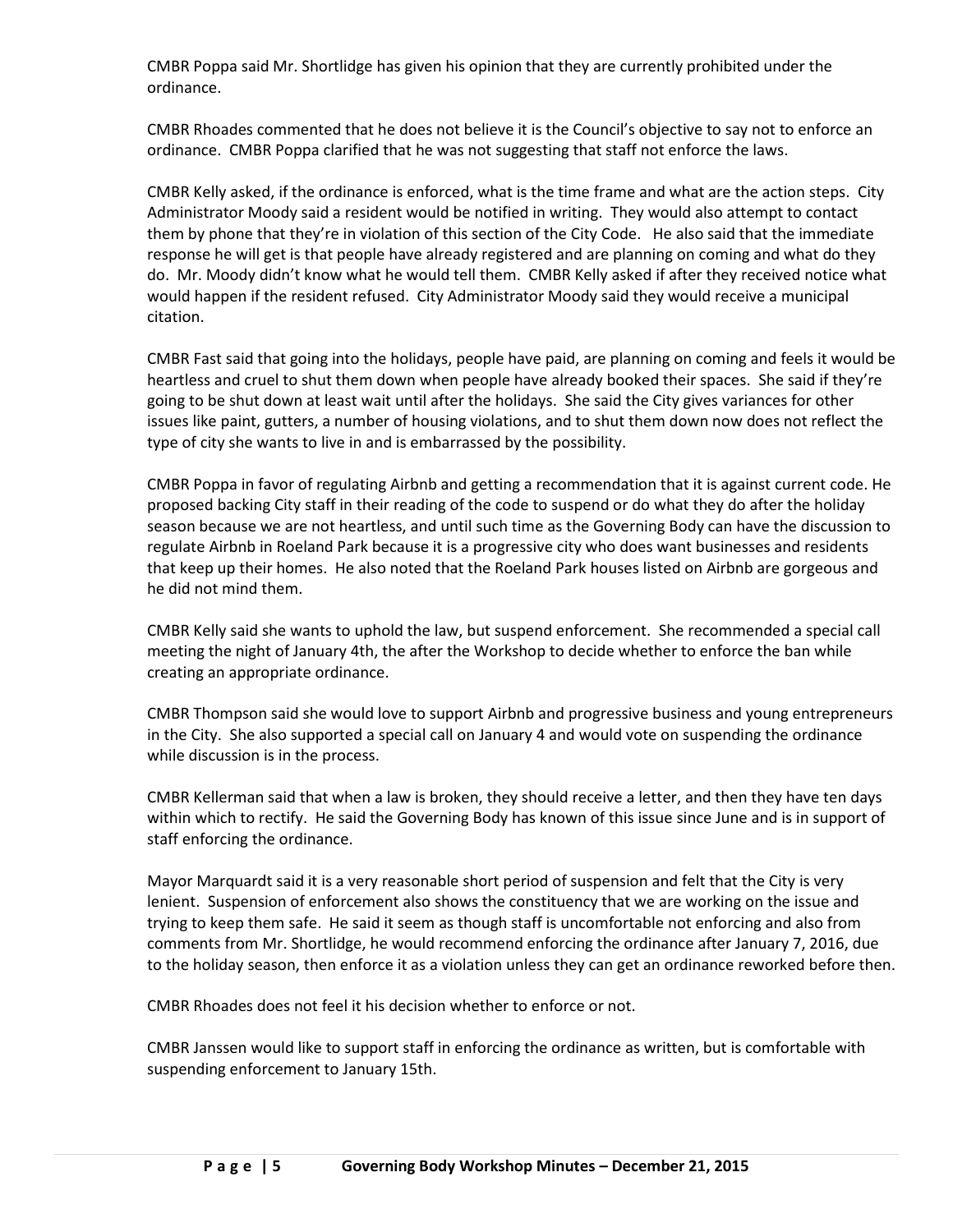CMBR Poppa said Mr. Shortlidge has given his opinion that they are currently prohibited under the ordinance.

CMBR Rhoades commented that he does not believe it is the Council's objective to say not to enforce an ordinance. CMBR Poppa clarified that he was not suggesting that staff not enforce the laws.

CMBR Kelly asked, if the ordinance is enforced, what is the time frame and what are the action steps. City Administrator Moody said a resident would be notified in writing. They would also attempt to contact them by phone that they're in violation of this section of the City Code. He also said that the immediate response he will get is that people have already registered and are planning on coming and what do they do. Mr. Moody didn't know what he would tell them. CMBR Kelly asked if after they received notice what would happen if the resident refused. City Administrator Moody said they would receive a municipal citation.

CMBR Fast said that going into the holidays, people have paid, are planning on coming and feels it would be heartless and cruel to shut them down when people have already booked their spaces. She said if they're going to be shut down at least wait until after the holidays. She said the City gives variances for other issues like paint, gutters, a number of housing violations, and to shut them down now does not reflect the type of city she wants to live in and is embarrassed by the possibility.

CMBR Poppa in favor of regulating Airbnb and getting a recommendation that it is against current code. He proposed backing City staff in their reading of the code to suspend or do what they do after the holiday season because we are not heartless, and until such time as the Governing Body can have the discussion to regulate Airbnb in Roeland Park because it is a progressive city who does want businesses and residents that keep up their homes. He also noted that the Roeland Park houses listed on Airbnb are gorgeous and he did not mind them.

CMBR Kelly said she wants to uphold the law, but suspend enforcement. She recommended a special call meeting the night of January 4th, the after the Workshop to decide whether to enforce the ban while creating an appropriate ordinance.

CMBR Thompson said she would love to support Airbnb and progressive business and young entrepreneurs in the City. She also supported a special call on January 4 and would vote on suspending the ordinance while discussion is in the process.

CMBR Kellerman said that when a law is broken, they should receive a letter, and then they have ten days within which to rectify. He said the Governing Body has known of this issue since June and is in support of staff enforcing the ordinance.

Mayor Marquardt said it is a very reasonable short period of suspension and felt that the City is very lenient. Suspension of enforcement also shows the constituency that we are working on the issue and trying to keep them safe. He said it seem as though staff is uncomfortable not enforcing and also from comments from Mr. Shortlidge, he would recommend enforcing the ordinance after January 7, 2016, due to the holiday season, then enforce it as a violation unless they can get an ordinance reworked before then.

CMBR Rhoades does not feel it his decision whether to enforce or not.

CMBR Janssen would like to support staff in enforcing the ordinance as written, but is comfortable with suspending enforcement to January 15th.